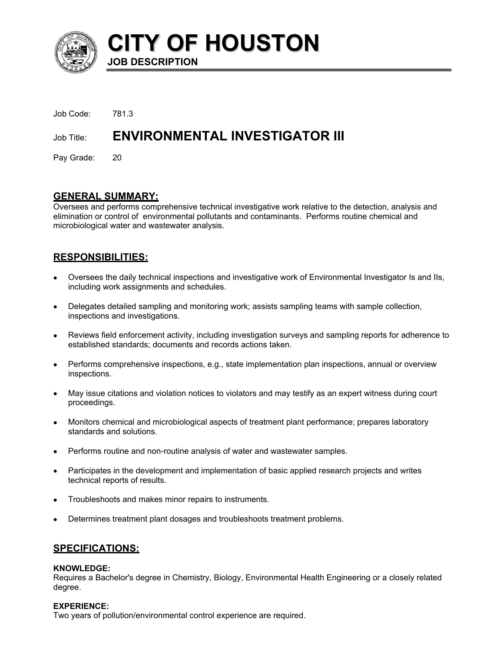

**CITY OF HOUSTON JOB DESCRIPTION** 

| Job Code: 781.3 |                                           |
|-----------------|-------------------------------------------|
|                 | Job Title: ENVIRONMENTAL INVESTIGATOR III |
| Pay Grade: 20   |                                           |

# **GENERAL SUMMARY:**

Oversees and performs comprehensive technical investigative work relative to the detection, analysis and elimination or control of environmental pollutants and contaminants. Performs routine chemical and microbiological water and wastewater analysis.

# **RESPONSIBILITIES:**

- Oversees the daily technical inspections and investigative work of Environmental Investigator Is and IIs, including work assignments and schedules.
- Delegates detailed sampling and monitoring work; assists sampling teams with sample collection, inspections and investigations.
- Reviews field enforcement activity, including investigation surveys and sampling reports for adherence to established standards; documents and records actions taken.
- Performs comprehensive inspections, e.g., state implementation plan inspections, annual or overview inspections.
- May issue citations and violation notices to violators and may testify as an expert witness during court proceedings.
- Monitors chemical and microbiological aspects of treatment plant performance; prepares laboratory standards and solutions.
- Performs routine and non-routine analysis of water and wastewater samples.
- Participates in the development and implementation of basic applied research projects and writes technical reports of results.
- Troubleshoots and makes minor repairs to instruments.
- Determines treatment plant dosages and troubleshoots treatment problems.

### **SPECIFICATIONS:**

#### **KNOWLEDGE:**

Requires a Bachelor's degree in Chemistry, Biology, Environmental Health Engineering or a closely related degree.

#### **EXPERIENCE:**

Two years of pollution/environmental control experience are required.